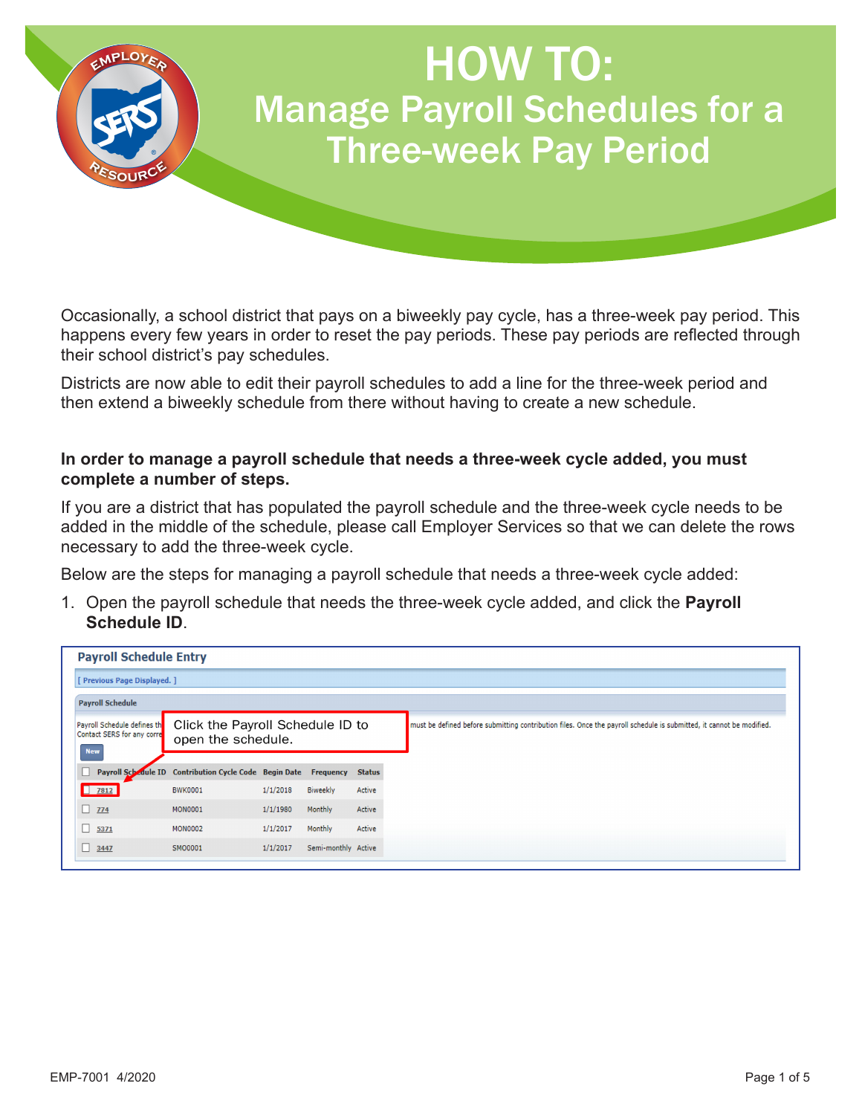

Occasionally, a school district that pays on a biweekly pay cycle, has a three-week pay period. This happens every few years in order to reset the pay periods. These pay periods are reflected through their school district's pay schedules.

Districts are now able to edit their payroll schedules to add a line for the three-week period and then extend a biweekly schedule from there without having to create a new schedule.

## **In order to manage a payroll schedule that needs a three-week cycle added, you must complete a number of steps.**

If you are a district that has populated the payroll schedule and the three-week cycle needs to be added in the middle of the schedule, please call Employer Services so that we can delete the rows necessary to add the three-week cycle.

Below are the steps for managing a payroll schedule that needs a three-week cycle added:

1. Open the payroll schedule that needs the three-week cycle added, and click the **Payroll Schedule ID**.

| <b>Payroll Schedule Entry</b>                                           |                                                                  |          |                     |               |                                                                                                                      |  |  |
|-------------------------------------------------------------------------|------------------------------------------------------------------|----------|---------------------|---------------|----------------------------------------------------------------------------------------------------------------------|--|--|
| [ Previous Page Displayed. ]                                            |                                                                  |          |                     |               |                                                                                                                      |  |  |
| <b>Payroll Schedule</b>                                                 |                                                                  |          |                     |               |                                                                                                                      |  |  |
| Payroll Schedule defines th<br>Contact SERS for any corre<br><b>New</b> | Click the Payroll Schedule ID to<br>open the schedule.           |          |                     |               | must be defined before submitting contribution files. Once the payroll schedule is submitted, it cannot be modified. |  |  |
|                                                                         | Payroll Schedule ID Contribution Cycle Code Begin Date Frequency |          |                     | <b>Status</b> |                                                                                                                      |  |  |
| $\begin{array}{ c c c c c }\n\hline\n\textbf{7812}\n\end{array}$        | <b>BWK0001</b>                                                   | 1/1/2018 | <b>Biweekly</b>     | Active        |                                                                                                                      |  |  |
| 774                                                                     | <b>MON0001</b>                                                   | 1/1/1980 | Monthly             | Active        |                                                                                                                      |  |  |
| 5371                                                                    | <b>MON0002</b>                                                   | 1/1/2017 | Monthly             | Active        |                                                                                                                      |  |  |
| $\begin{array}{ c c c c c c } \hline \textbf{3447} \end{array}$         | SM00001                                                          | 1/1/2017 | Semi-monthly Active |               |                                                                                                                      |  |  |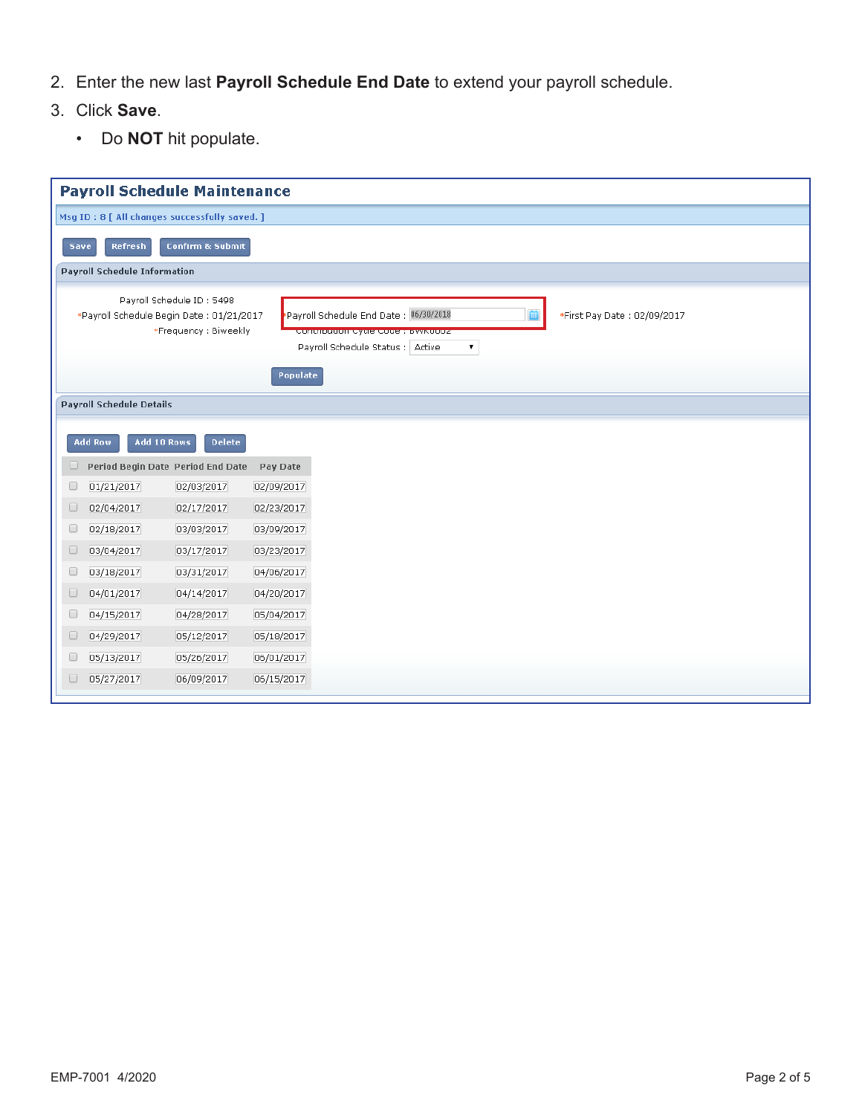- 2. Enter the new last **Payroll Schedule End Date** to extend your payroll schedule.
- 3. Click **Save**.
	- Do **NOT** hit populate.

| <b>Payroll Schedule Maintenance</b>                                                                                                                                                                                                                   |  |  |  |  |  |  |
|-------------------------------------------------------------------------------------------------------------------------------------------------------------------------------------------------------------------------------------------------------|--|--|--|--|--|--|
| Msg ID: 8 [ All changes successfully saved. ]                                                                                                                                                                                                         |  |  |  |  |  |  |
| Refresh<br><b>Confirm &amp; Submit</b><br>Save                                                                                                                                                                                                        |  |  |  |  |  |  |
| <b>Payroll Schedule Information</b>                                                                                                                                                                                                                   |  |  |  |  |  |  |
| Payroll Schedule ID: 5498<br>Payroll Schedule End Date: 06/30/2018<br>*Payroll Schedule Begin Date: 01/21/2017<br>*First Pay Date: 02/09/2017<br>*Frequency: Biweekly<br>Continuution Cycle Code: BWK0002<br>Payroll Schedule Status :   Active<br>۷. |  |  |  |  |  |  |
| Populate<br><b>Payroll Schedule Details</b>                                                                                                                                                                                                           |  |  |  |  |  |  |
| Add 10 Rows<br><b>Delete</b><br><b>Add Row</b>                                                                                                                                                                                                        |  |  |  |  |  |  |
| Period Begin Date Period End Date<br>Pay Date<br>U                                                                                                                                                                                                    |  |  |  |  |  |  |
| 01/21/2017<br>02/03/2017<br>02/09/2017<br>$\Box$                                                                                                                                                                                                      |  |  |  |  |  |  |
| 02/04/2017<br>02/17/2017<br>02/23/2017<br>$\Box$                                                                                                                                                                                                      |  |  |  |  |  |  |
| 02/18/2017<br>03/03/2017<br>0<br>03/09/2017                                                                                                                                                                                                           |  |  |  |  |  |  |
| 03/04/2017<br>03/17/2017<br>03/23/2017<br>$\Box$                                                                                                                                                                                                      |  |  |  |  |  |  |
| 0<br>03/18/2017<br>03/31/2017<br>04/06/2017                                                                                                                                                                                                           |  |  |  |  |  |  |
| $\Box$<br>04/01/2017<br>04/14/2017<br>04/20/2017                                                                                                                                                                                                      |  |  |  |  |  |  |
| 0<br>04/15/2017<br>04/28/2017<br>05/04/2017                                                                                                                                                                                                           |  |  |  |  |  |  |
| 04/29/2017<br>05/12/2017<br>05/18/2017<br>$\Box$                                                                                                                                                                                                      |  |  |  |  |  |  |
| 0<br>05/13/2017<br>05/26/2017<br>06/01/2017                                                                                                                                                                                                           |  |  |  |  |  |  |
| 05/27/2017<br>06/09/2017<br>06/15/2017<br>u                                                                                                                                                                                                           |  |  |  |  |  |  |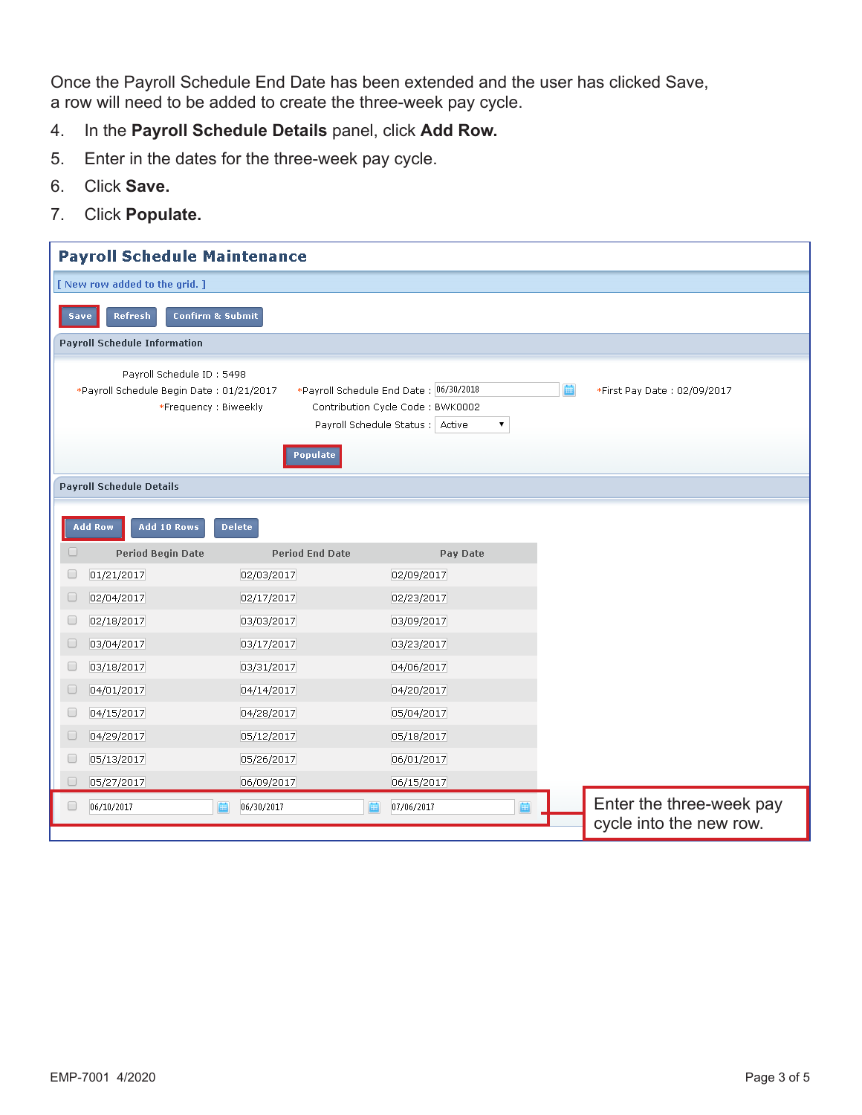Once the Payroll Schedule End Date has been extended and the user has clicked Save, a row will need to be added to create the three-week pay cycle.

- 4. In the **Payroll Schedule Details** panel, click **Add Row.**
- 5. Enter in the dates for the three-week pay cycle.
- 6. Click **Save.**
- 7. Click **Populate.**

| <b>Payroll Schedule Maintenance</b>                                                                                                                                                                                                                                   |                        |            |                                                     |  |  |  |  |  |
|-----------------------------------------------------------------------------------------------------------------------------------------------------------------------------------------------------------------------------------------------------------------------|------------------------|------------|-----------------------------------------------------|--|--|--|--|--|
| [ New row added to the grid. ]                                                                                                                                                                                                                                        |                        |            |                                                     |  |  |  |  |  |
| Refresh<br><b>Confirm &amp; Submit</b><br><b>Save</b>                                                                                                                                                                                                                 |                        |            |                                                     |  |  |  |  |  |
| <b>Payroll Schedule Information</b>                                                                                                                                                                                                                                   |                        |            |                                                     |  |  |  |  |  |
| Payroll Schedule ID: 5498<br>*Payroll Schedule End Date : 06/30/2018<br>*Payroll Schedule Begin Date: 01/21/2017<br>圇<br>*First Pay Date: 02/09/2017<br>*Frequency: Biweekly<br>Contribution Cycle Code: BWK0002<br>Payroll Schedule Status : Active<br>▼<br>Populate |                        |            |                                                     |  |  |  |  |  |
|                                                                                                                                                                                                                                                                       |                        |            |                                                     |  |  |  |  |  |
| <b>Payroll Schedule Details</b>                                                                                                                                                                                                                                       |                        |            |                                                     |  |  |  |  |  |
| Add 10 Rows<br><b>Add Row</b>                                                                                                                                                                                                                                         | <b>Delete</b>          |            |                                                     |  |  |  |  |  |
| 0<br><b>Period Begin Date</b>                                                                                                                                                                                                                                         | <b>Period End Date</b> | Pay Date   |                                                     |  |  |  |  |  |
| $\Box$<br>01/21/2017                                                                                                                                                                                                                                                  | 02/03/2017             | 02/09/2017 |                                                     |  |  |  |  |  |
| $\Box$<br>02/04/2017                                                                                                                                                                                                                                                  | 02/17/2017             | 02/23/2017 |                                                     |  |  |  |  |  |
| 02/18/2017<br>O                                                                                                                                                                                                                                                       | 03/03/2017             | 03/09/2017 |                                                     |  |  |  |  |  |
| 03/04/2017<br>u                                                                                                                                                                                                                                                       | 03/17/2017             | 03/23/2017 |                                                     |  |  |  |  |  |
| 0<br>03/18/2017                                                                                                                                                                                                                                                       | 03/31/2017             | 04/06/2017 |                                                     |  |  |  |  |  |
| 04/01/2017<br>O                                                                                                                                                                                                                                                       | 04/14/2017             | 04/20/2017 |                                                     |  |  |  |  |  |
| 04/15/2017<br>O                                                                                                                                                                                                                                                       | 04/28/2017             | 05/04/2017 |                                                     |  |  |  |  |  |
| 04/29/2017<br>O                                                                                                                                                                                                                                                       | 05/12/2017             | 05/18/2017 |                                                     |  |  |  |  |  |
| O<br>05/13/2017                                                                                                                                                                                                                                                       | 05/26/2017             | 06/01/2017 |                                                     |  |  |  |  |  |
| 05/27/2017<br>$\Box$                                                                                                                                                                                                                                                  | 06/09/2017             | 06/15/2017 |                                                     |  |  |  |  |  |
| 06/10/2017<br>O                                                                                                                                                                                                                                                       | 06/30/2017             | 07/06/2017 | Enter the three-week pay<br>cycle into the new row. |  |  |  |  |  |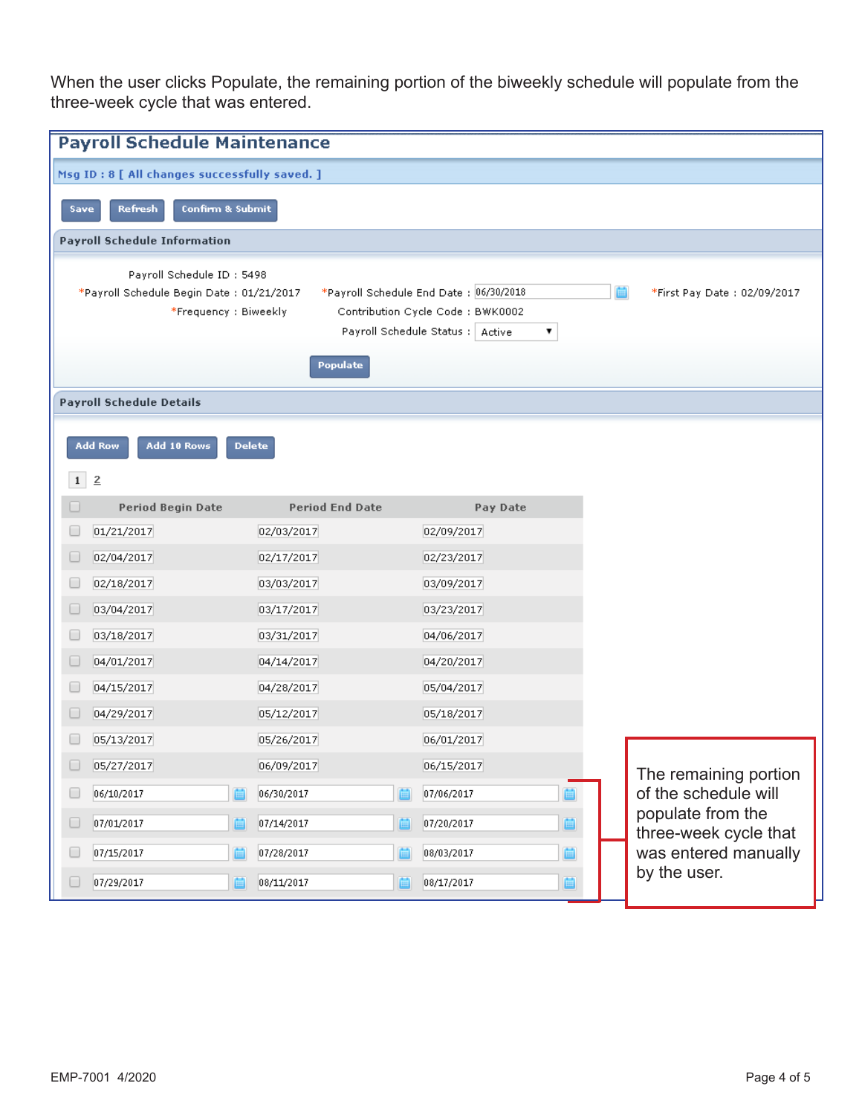When the user clicks Populate, the remaining portion of the biweekly schedule will populate from the three-week cycle that was entered.

|                                               | <b>Payroll Schedule Maintenance</b> |                                                                           |  |                                            |  |  |  |  |
|-----------------------------------------------|-------------------------------------|---------------------------------------------------------------------------|--|--------------------------------------------|--|--|--|--|
| Msg ID: 8 [ All changes successfully saved. ] |                                     |                                                                           |  |                                            |  |  |  |  |
| Confirm & Submit<br><b>Refresh</b><br>Save    |                                     |                                                                           |  |                                            |  |  |  |  |
| <b>Payroll Schedule Information</b>           |                                     |                                                                           |  |                                            |  |  |  |  |
|                                               |                                     |                                                                           |  |                                            |  |  |  |  |
|                                               | Payroll Schedule ID: 5498           |                                                                           |  |                                            |  |  |  |  |
| *Payroll Schedule Begin Date: 01/21/2017      |                                     | *Payroll Schedule End Date : 06/30/2018                                   |  | *First Pay Date: 02/09/2017                |  |  |  |  |
| *Frequency: Biweekly                          |                                     | Contribution Cycle Code: BWK0002<br>Payroll Schedule Status : Active<br>▼ |  |                                            |  |  |  |  |
|                                               |                                     |                                                                           |  |                                            |  |  |  |  |
|                                               | Populate                            |                                                                           |  |                                            |  |  |  |  |
| <b>Payroll Schedule Details</b>               |                                     |                                                                           |  |                                            |  |  |  |  |
|                                               |                                     |                                                                           |  |                                            |  |  |  |  |
| Add 10 Rows<br><b>Add Row</b>                 | <b>Delete</b>                       |                                                                           |  |                                            |  |  |  |  |
| $1 \mid 2$                                    |                                     |                                                                           |  |                                            |  |  |  |  |
| <b>Period Begin Date</b><br>u                 | <b>Period End Date</b>              | Pay Date                                                                  |  |                                            |  |  |  |  |
| 01/21/2017                                    | 02/03/2017                          | 02/09/2017                                                                |  |                                            |  |  |  |  |
| 02/04/2017                                    | 02/17/2017                          | 02/23/2017                                                                |  |                                            |  |  |  |  |
| 02/18/2017                                    | 03/03/2017                          | 03/09/2017                                                                |  |                                            |  |  |  |  |
| 03/04/2017<br>u                               | 03/17/2017                          | 03/23/2017                                                                |  |                                            |  |  |  |  |
| u<br>03/18/2017                               | 03/31/2017                          | 04/06/2017                                                                |  |                                            |  |  |  |  |
| 04/01/2017                                    | 04/14/2017                          | 04/20/2017                                                                |  |                                            |  |  |  |  |
| 04/15/2017                                    | 04/28/2017                          | 05/04/2017                                                                |  |                                            |  |  |  |  |
| 04/29/2017                                    | 05/12/2017                          | 05/18/2017                                                                |  |                                            |  |  |  |  |
| 05/13/2017                                    | 05/26/2017                          | 06/01/2017                                                                |  |                                            |  |  |  |  |
| 05/27/2017                                    | 06/09/2017                          | 06/15/2017                                                                |  | The remaining portion                      |  |  |  |  |
| 06/10/2017                                    | 06/30/2017                          | 07/06/2017                                                                |  | of the schedule will                       |  |  |  |  |
| O<br>07/01/2017<br>画                          | 07/14/2017                          | 07/20/2017<br>画                                                           |  | populate from the<br>three-week cycle that |  |  |  |  |
| 07/15/2017<br>□                               | 07/28/2017                          | 08/03/2017<br>崮                                                           |  | was entered manually                       |  |  |  |  |
| $\Box$<br>07/29/2017<br>圁                     | 08/11/2017<br>圖                     | 08/17/2017<br>画                                                           |  | by the user.                               |  |  |  |  |